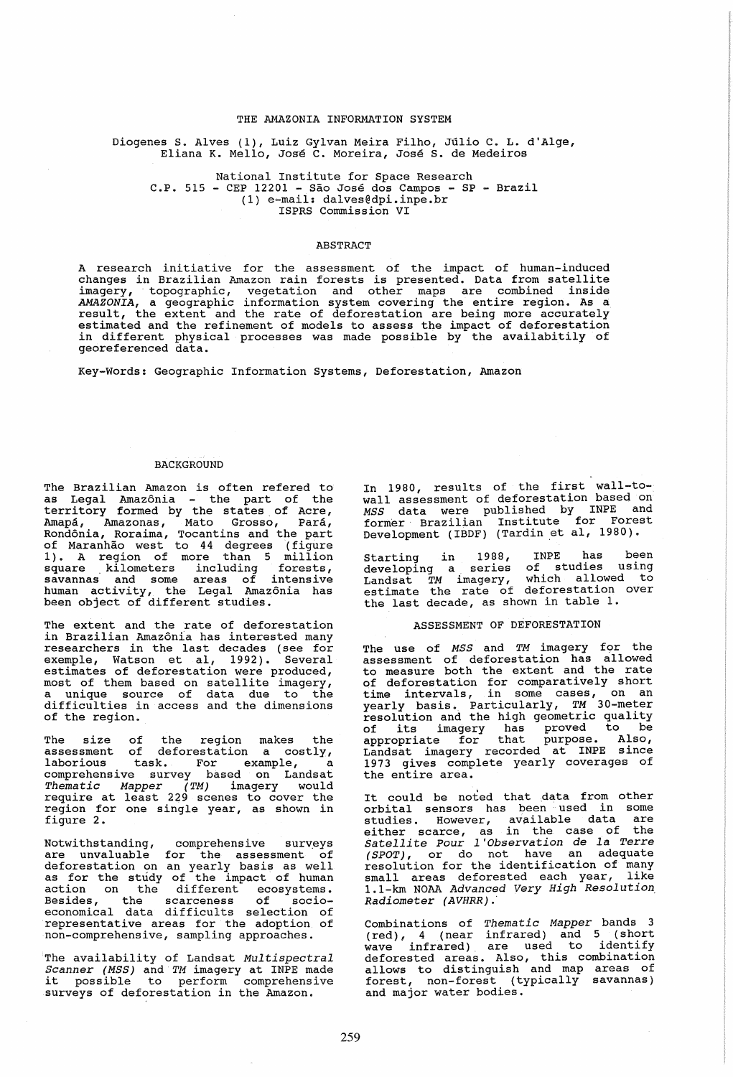### THE AMAZONIA INFORMATION SYSTEM

Diogenes S. Alves (1), Luiz Gylvan Meira Filho, Júlio C. L. d'Alge, Eliana K. Mello, José C. Moreira, José S. de Medeiros

National Institute for Space Research C.P. 515 - CEP 12201 -Sao Jose dos Campos - SP - Brazil (1) e-mail: dalves@dpi.inpe.br ISPRS Commission VI

### **ABSTRACT**

A research initiative for the assessment of the impact of human-induced changes in Brazilian Amazon rain forests is presented. Data from satellite imagery, topographic, vegetation and other maps are combined inside AMAZONIA, a geographic information system covering the entire region. As a result, the extent and the rate of deforestation are being more accurately estimated and the refinement of models to assess the impact of deforestation in different physical processes was made possible by the availabitily of georeferenced data.

Key-Words: Geographic Information Systems, Deforestation, Amazon

#### BACKGROUND

The Brazilian Amazon is often refered to<br>as Legal Amazônia - the part of the territory formed by the states, of Acre, Amapa, Amazonas, Mato Grosso, Para, Rondonia, Roraima, Tocantins and the part of Maranhao west to 44 degrees (figure 1). A region of more than 5 million square kilometers including forests, savannas and some areas of intensive human activity, the Legal Amazonia has been object of different studies.

The extent and the rate of deforestation in Brazilian Amazonia has interested many researchers in the last decades (see for<br>exemple, Watson et al, 1992). Several exemple, Watson et al, 1992). estimates of deforestation were produced,<br>most of them based on satellite imagery,<br>a unique source of data due to the difficulties in access and the dimensions of the region.

The size of the region makes the assessment of deforestation a costly, laborious task. For example, a comprehensive survey based on Landsat Thematic Mapper (TM) imagery would require at least 229 scenes to cover the region for one single year, as shown in figure 2.

Notwithstanding, comprehensive surveys are unvaluable for the assessment of deforestation on an yearly basis as well<br>deforestation on an yearly basis as well<br>as for the study of the impact of human action on the different ecosystems. Besides, the scarceness of socioeconomical data difficults selection of representative areas for the adoption of non-comprehensive, sampling approaches.

The availability of Landsat Multispectral Scanner (MSS) and TM imagery at INPE made<br>it possible to perform comprehensive<br>surveys of deforestation in the Amazon. In 1980, results of the first wall-towall assessment of deforestation based on MSS data were published by INPE and former' Brazilian Institute for Forest Development (IBDF) (Tardin et al, 1980).

Starting in 1988, INPE has been developing a series of studies using Landsat TM imagery, which allowed to estimate the rate of deforestation over the last decade, as shown in table 1.

#### ASSESSMENT OF DEFORESTATION

The use of MSS and TM imagery for the assessment of deforestation has allowed to measure both the extent and the rate of deforestation for comparatively short time intervals, in some cases, on an<br>yearly basis. Particularly, TM 30-meter resolution and the high geometric quality of its imagery has proved to be appropriate for that purpose. Also, Landsat imagery recorded at INPE since 1973 gives complete yearly coverages of the entire area.

It could be noted that data from other<br>orbital sensors has been used in some orbital sensors has been used in some<br>studies. However, available data are<br>either scarce, as in the case of the either scarce, as in the case of the<br>*Satellite Pour l'Observation de la Terre<br>(SPOT), or do not have an adequate* resolution for the identification of many small areas deforested each year, like 1.1-km NOAA Advanced Very High Resolution, Radiometer (AVHRR).

Combinations of Thematic Mapper bands 3 (red), 4 (near infrared) and 5 (short wave infrared). are used to identify deforested areas. Also, this combination allows to distinguish and map areas of forest, non-forest (typically savannas) and major water bodies.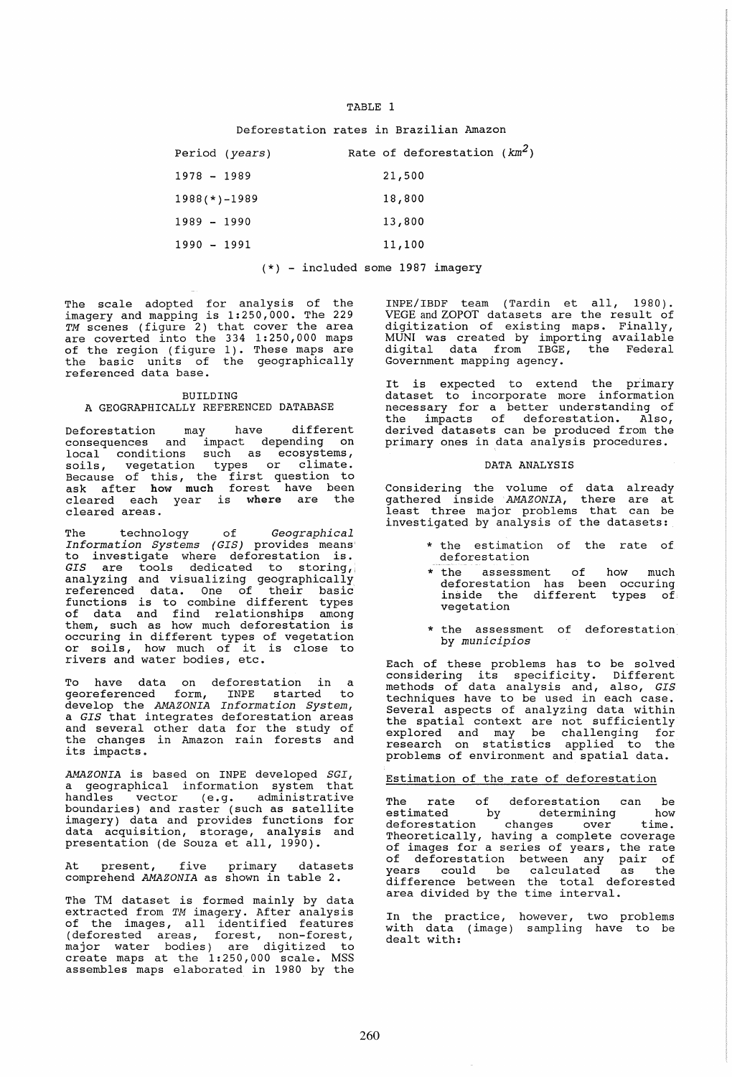#### TABLE 1

Deforestation rates in Brazilian Amazon

| Period (years)     |  | Rate of deforestation $(km^2)$ |  |
|--------------------|--|--------------------------------|--|
| $1978 - 1989$      |  | 21,500                         |  |
| $1988$ (*) $-1989$ |  | 18,800                         |  |
| $1989 - 1990$      |  | 13,800                         |  |
| $1990 - 1991$      |  | 11,100                         |  |
|                    |  |                                |  |

(\*) - included some 1987 imagery

The scale adopted for analysis of the imagery and mapping is 1:250,000. The 229 *TM* scenes (figure 2) that cover the area are coverted into the 334 1:250,000 maps of the region (figure 1). These maps are<br>the basic units of the geographically referenced data base.

## BUILDING A GEOGRAPHICALLY REFERENCED DATABASE

Deforestation may have different consequences and impact depending on<br>local conditions such as ecosystems, soils, vegetation types or climate. Because of this, the first question to ask after how much forest have been ask diccl now mach lovest have seen cleared areas.

The technology of *Geographical Information Systems (GIS)* provides means' Information Systems (GIS) provides means<br>to investigate where deforestation is. GIS are tools dedicated to storing, analyzing and visualizing geographically andryzing and visuarizing goographicarity functions is to combine different types of data and find relationships among them, such as how much deforestation is occuring in different types of vegetation or soils, how much of it is close to rivers and water bodies, etc.

To have data on deforestation in a georeferenced form, INPE started to develop the *AMAZONIA Information System,*  <sup>a</sup>*GIS* that integrates deforestation areas and several other data for the study of and bovedar bends data for the body of<br>the changes in Amazon rain forests and<br>its impacts.

*AMAZONIA* is based on INPE developed *SGI,*  a geographical information system that handles vector (e.g. administrative boundaries) and raster (such as satellite imagery) data and provides functions for data acquisition, storage, analysis and presentation (de Souza et all, 1990).

At present, five primary datasets comprehend *AMAZONIA* as shown in table 2.

The TM dataset is formed mainly by data extracted from *TM* imagery. After analysis of the images, all identified features (deforested areas, forest, non-forest, major water bodies) are digitized to major water boards, are drygerised to assembles maps elaborated in 1980 by the

INPE/IBDF team (Tardin et all, 1980). VEGE and ZOPOT datasets are the result of digitization of existing maps. Finally, MUNI was created by importing available digital data from IBGE, the Federal Government mapping agency.

It is expected to extend the primary dataset to incorporate more information necessary for a better understanding of the impacts of deforestation. Also, derived datasets can be produced from the primary ones in data analysis procedures.

### DATA ANALYSIS

Considering the volume of data already gathered inside *AMAZONIA,* there are at gathered infract inhibitily there are at investigated by analysis of the datasets:

- \* the estimation of the rate of deforestation
- \* the assessment of the assessment of how much<br>deforestation has been occuring inside the different types of vegetation
- \* the assessment of deforestation by *municipios*

Each of these problems has to be solved Each of these problems has to be solved<br>considering its specificity. Different methods of data analysis and, also, *GIS*  techniques have to be used in each case. Several aspects of analyzing data within the spatial context are not sufficiently explored and may be challenging for research on statistics applied to the problems of environment and spatial data.

## Estimation of the rate of deforestation

The rate of deforestation can be<br>estimated by determining how estimated by determining how deforestation changes over time. Theoretically, having a complete coverage of images for a series of years, the rate of deforestation between any pair of years could be calculated as the difference between the total deforested area divided by the time interval.

In the practice, with data (image) dealt with: however, two problems sampling have to be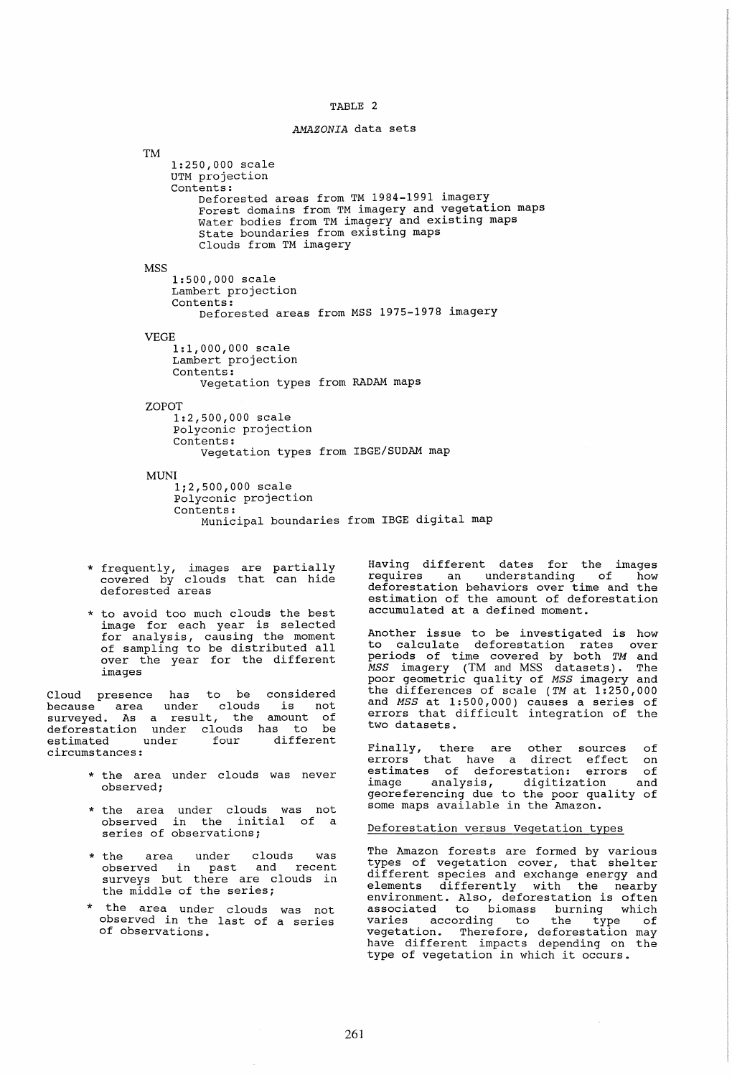# TABLE 2

#### *AMAZONIA* data sets

TM 1:250,000 scale UTM projection Contents: Deforested areas from TM 1984-1991 imagery Forest domains from TM imagery and vegetation maps Water bodies from TM imagery and existing maps State boundaries from existing maps **MSS** Clouds from TM imagery 1:500,000 scale Lambert projection Contents: Deforested areas from MSS 1975-1978 imagery VEGE 1:1,000,000 scale Lambert projection Contents: Vegetation types from RADAM maps ZOPOT 1:2,500,000 scale polyconic projection Contents: Vegetation types from IBGE/SUDAM map MUNI 1;2,500,000 scale polyconic projection Contents: Municipal boundaries from IBGE digital map

- \* frequently, images are partially covered by clouds that can hide deforested areas
- \* to avoid too much clouds the best image for each year is selected for analysis, causing the moment of sampling to be distributed all over the year for the different images

Cloud presence has to be considered because area under clouds is not surveyed. As a result, the amount of deforestation under clouds has to be estimated under four different estimated under<br>circumstances:

- \* the area under clouds was never observed;
- \* the area under clouds was not observed in the initial of a series of observations;
- \* the area under clouds was observed in past and recent surveys but there are clouds in the middle of the series;
- \* the area under clouds was not observed in the last of a series of observations.

Having different dates for the images requires an understanding of how deforestation behaviors over time and the estimation of the amount of deforestation accumulated at a defined moment.

Another issue to be investigated is how to calculate deforestation rates over periods of time covered by both *TM* and *MSS* imagery (TM and MSS datasets). The poor geometric quality of *MSS* imagery and the differences of scale *(TM* at 1:250,000 and *MSS* at 1:500,000) causes a series of errors that difficult integration of the two datasets.

Finally, there are other sources of errors that have a direct effect on estimates of deforestation: errors of image analysis, digitization and enasy soming due to the poor quality of<br>georeferencing due to the poor quality of<br>some maps available in the Amazon.

#### Deforestation versus Vegetation types

The Amazon forests are formed by various types of vegetation cover, that shelter different species and exchange energy and elements differently with the nearby environment. Also, deforestation is often associated to biomass burning which varies according to the type of vegetation. Therefore, deforestation may have different impacts depending on the type of vegetation in which it occurs.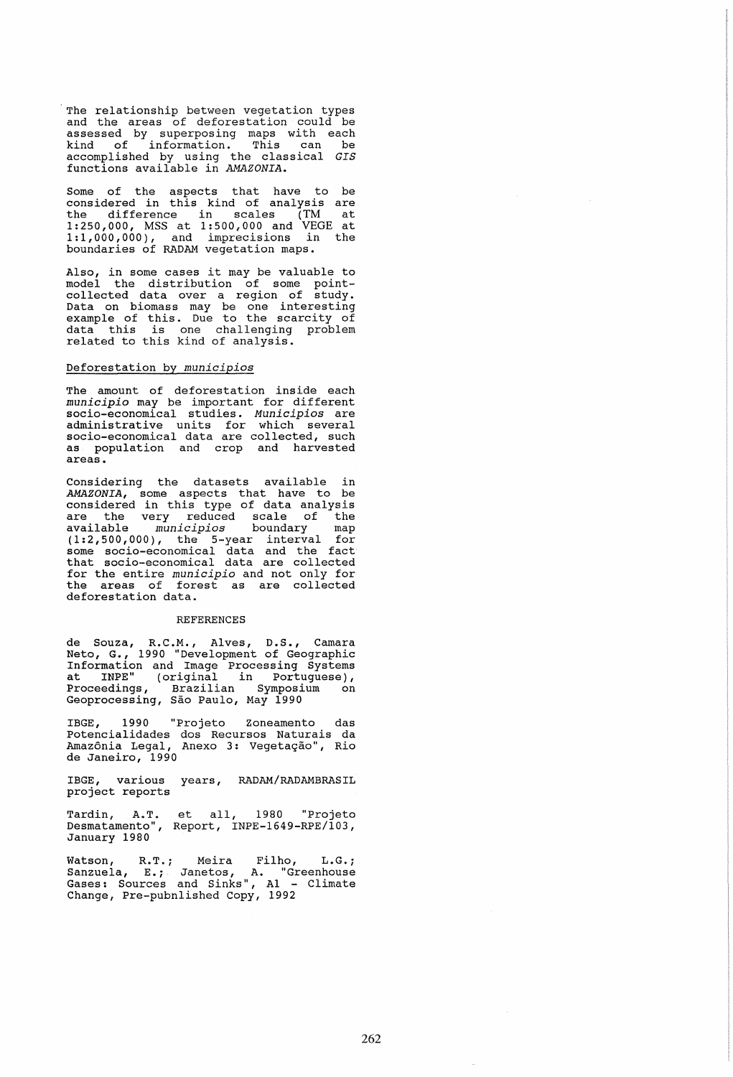'The relationship between vegetation types and the areas of deforestation could be assessed by superposing maps with each kind of information. This can be accomplished by using the classical *GIS*  functions available in *AMAZONIA.* 

Some of the aspects that have to be<br>considered in this kind of analysis are considered in this kind of analysis are the difference in scales (TM at 1: 250,000, MSS at 1: 500 *,000* and VEGE at 1:1,000,000), and imprecisions in the boundaries of RADAM vegetation maps.

Also, in some cases it may be valuable to model the distribution of some pointcollected data over a region of study. Data on biomass may be one interesting example of this. Due to the scarcity of champic of chip: bud co one bourcity of related to this kind of analysis.

### Deforestation by *municipios*

The amount of deforestation inside each *municipio* may be important for different socio-economical studies. *Municipios* are administrative units for which several socio-economical data are collected, such<br>as population and crop and harvested<br>areas.

Considering the datasets available in *AMAZONIA,* some aspects that have to be considered in this type of data analysis are the very reduced scale of the available *municipios* boundary map (1:2,500,000), the 5-year interval for some socio-economical data and the fact that socio-economical data are collected for the entire *municipio* and not only for the areas of forest as are collected deforestation data.

#### REFERENCES

de Souza, R.C.M., Alves, D.S., Camara Neto, G., 1990 "Development of Geographic Information and Image processing Systems at INPE" (original in Portuguese), Proceedings, Brazilian Symposium<br>Geoprocessing, São Paulo, May 1990

IBGE, 1990 "Projeto Zoneamento das Potencialidades dos Recursos Naturais da Amazônia Legal, Anexo 3: Vegetação", Rio de Janeiro, 1990

IBGE, various years, RADAM/RADAMBRASIL project reports

Tardin, A.T. Desmatamento" , January 1980 et all, 1980 "Projeto Report, INPE-1649-RPE/103,

watson, R.T.; Meira Filho, L.G.; Sanzuela, E.; Janetos, A. "Greenhouse Gases: Sources and Sinks", Al - Climate Change, Pre-pubnlished Copy, 1992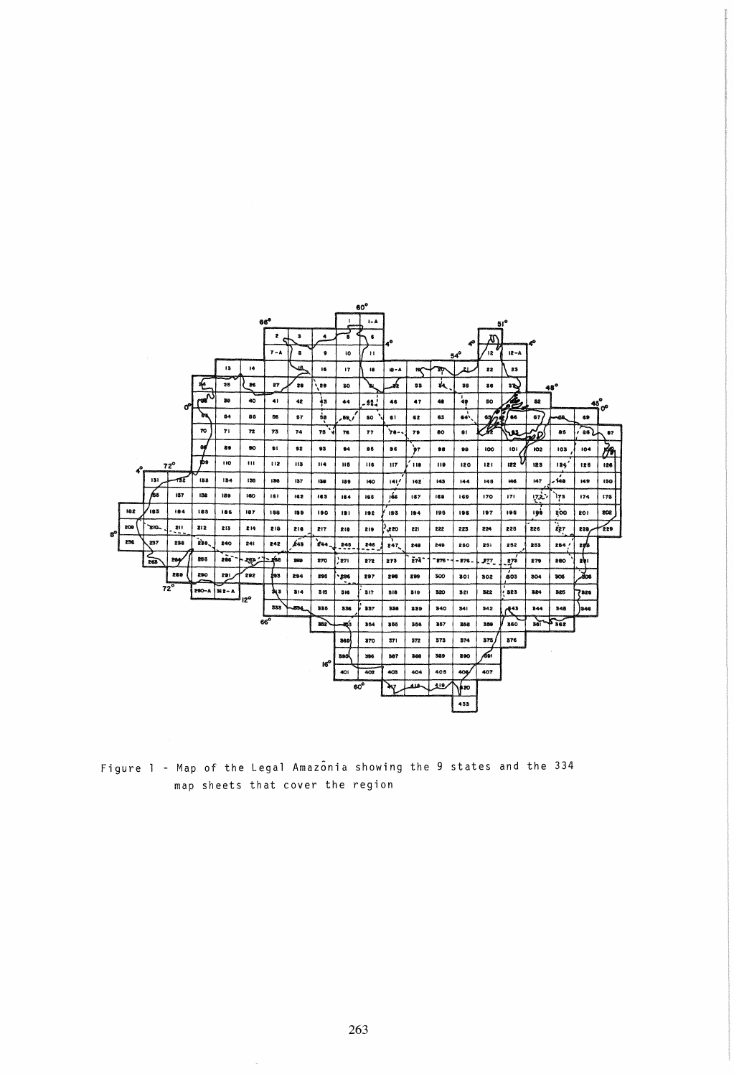

Figure 1 - Map of the Legal Amazonia showing the 9 states and the 334 map sheets that cover the region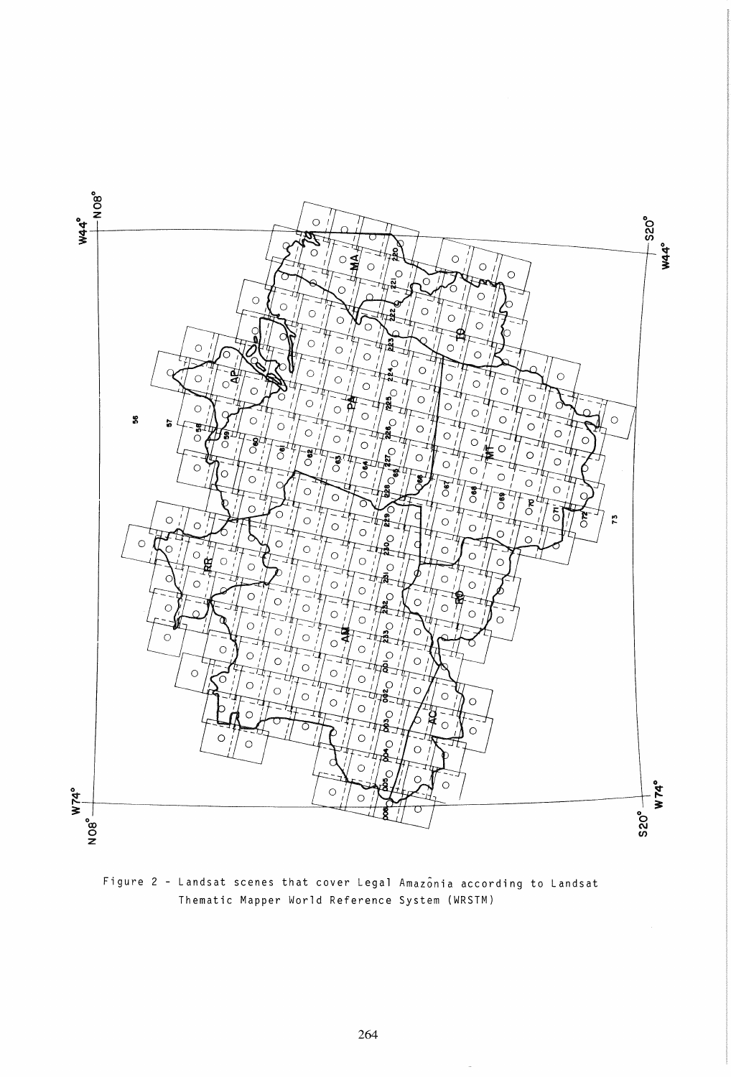

Figure 2 - Landsat scenes that cover Legal Amazonia according to Landsat Thematic Mapper World Reference System (WRSTM)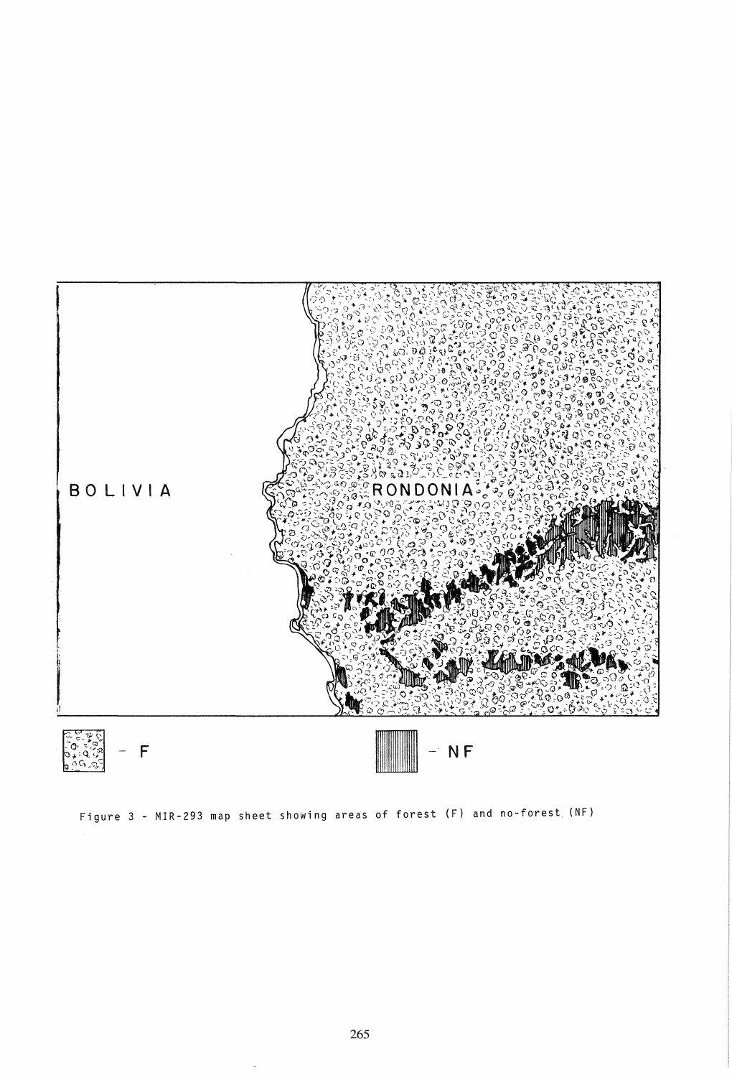